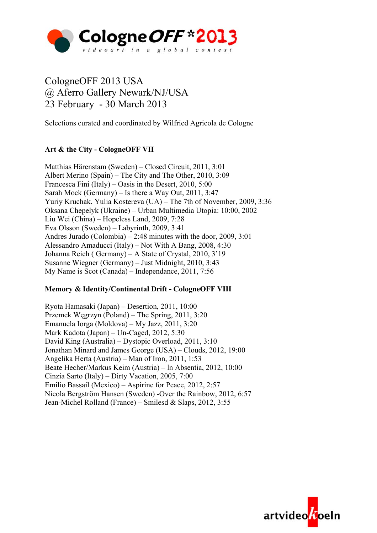

# CologneOFF 2013 USA @ Aferro Gallery Newark/NJ/USA 23 February - 30 March 2013

Selections curated and coordinated by Wilfried Agricola de Cologne

## **Art & the City - CologneOFF VII**

Matthias Härenstam (Sweden) – Closed Circuit, 2011, 3:01 Albert Merino (Spain) – The City and The Other, 2010, 3:09 Francesca Fini (Italy) – Oasis in the Desert, 2010, 5:00 Sarah Mock (Germany) – Is there a Way Out, 2011, 3:47 Yuriy Kruchak, Yulia Kostereva (UA) – The 7th of November, 2009, 3:36 Oksana Chepelyk (Ukraine) – Urban Multimedia Utopia: 10:00, 2002 Liu Wei (China) – Hopeless Land, 2009, 7:28 Eva Olsson (Sweden) – Labyrinth, 2009, 3:41 Andres Jurado (Colombia) – 2:48 minutes with the door, 2009, 3:01 Alessandro Amaducci (Italy) – Not With A Bang, 2008, 4:30 Johanna Reich ( Germany) – A State of Crystal, 2010, 3'19 Susanne Wiegner (Germany) – Just Midnight, 2010, 3:43 My Name is Scot (Canada) – Independance, 2011, 7:56

## **Memory & Identity/Continental Drift - CologneOFF VIII**

Ryota Hamasaki (Japan) – Desertion, 2011, 10:00 Przemek Węgrzyn (Poland) – The Spring, 2011, 3:20 Emanuela Iorga (Moldova) – My Jazz, 2011, 3:20 Mark Kadota (Japan) – Un-Caged, 2012, 5:30 David King (Australia) – Dystopic Overload, 2011, 3:10 Jonathan Minard and James George (USA) – Clouds, 2012, 19:00 Angelika Herta (Austria) – Man of Iron, 2011, 1:53 Beate Hecher/Markus Keim (Austria) – ln Absentia, 2012, 10:00 Cinzia Sarto (Italy) – Dirty Vacation, 2005, 7:00 Emilio Bassail (Mexico) – Aspirine for Peace, 2012, 2:57 Nicola Bergström Hansen (Sweden) -Over the Rainbow, 2012, 6:57 Jean-Michel Rolland (France) – Smilesd & Slaps, 2012, 3:55

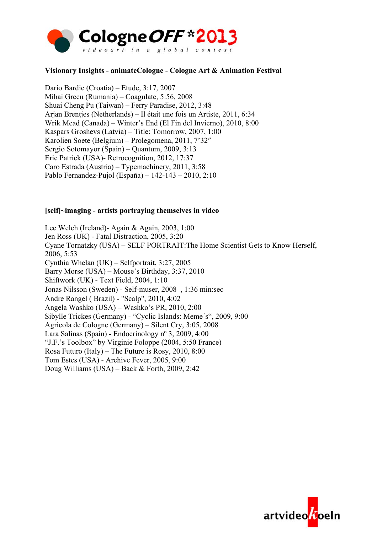

### **Visionary Insights - animateCologne - Cologne Art & Animation Festival**

Dario Bardic (Croatia) – Etude, 3:17, 2007 Mihai Grecu (Rumania) – Coagulate, 5:56, 2008 Shuai Cheng Pu (Taiwan) – Ferry Paradise, 2012, 3:48 Arjan Brentjes (Netherlands) – Il était une fois un Artiste, 2011, 6:34 Wrik Mead (Canada) – Winter's End (El Fin del Invierno), 2010, 8:00 Kaspars Groshevs (Latvia) – Title: Tomorrow, 2007, 1:00 Karolien Soete (Belgium) – Prolegomena, 2011, 7'32″ Sergio Sotomayor (Spain) – Quantum, 2009, 3:13 Eric Patrick (USA)- Retrocognition, 2012, 17:37 Caro Estrada (Austria) – Typemachinery, 2011, 3:58 Pablo Fernandez-Pujol (España) – 142-143 – 2010, 2:10

#### **[self]~imaging - artists portraying themselves in video**

Lee Welch (Ireland)- Again & Again, 2003, 1:00 Jen Ross (UK) - Fatal Distraction, 2005, 3:20 Cyane Tornatzky (USA) – SELF PORTRAIT:The Home Scientist Gets to Know Herself, 2006, 5:53 Cynthia Whelan (UK) – Selfportrait, 3:27, 2005 Barry Morse (USA) – Mouse's Birthday, 3:37, 2010 Shiftwork (UK) - Text Field, 2004, 1:10 Jonas Nilsson (Sweden) - Self-muser, 2008 , 1:36 min:sec Andre Rangel ( Brazil) - "Scalp", 2010, 4:02 Angela Washko (USA) – Washko's PR, 2010, 2:00 Sibylle Trickes (Germany) - "Cyclic Islands: Meme´s", 2009, 9:00 Agricola de Cologne (Germany) – Silent Cry, 3:05, 2008 Lara Salinas (Spain) - Endocrinology nº 3, 2009, 4:00 "J.F.'s Toolbox" by Virginie Foloppe (2004, 5:50 France) Rosa Futuro (Italy) – The Future is Rosy, 2010, 8:00 Tom Estes (USA) - Archive Fever, 2005, 9:00 Doug Williams (USA) – Back & Forth, 2009, 2:42

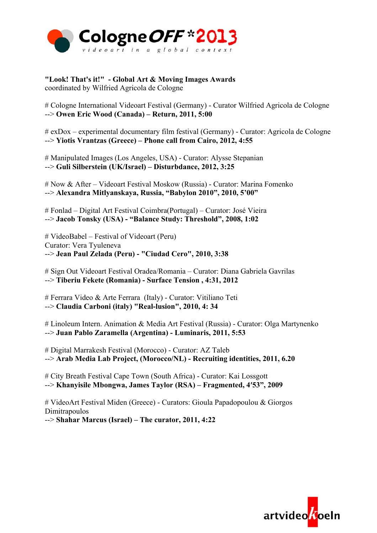

**"Look! That's it!" - Global Art & Moving Images Awards** coordinated by Wilfried Agricola de Cologne

# Cologne International Videoart Festival (Germany) - Curator Wilfried Agricola de Cologne --> **Owen Eric Wood (Canada) – Return, 2011, 5:00**

# exDox – experimental documentary film festival (Germany) - Curator: Agricola de Cologne --> **Yiotis Vrantzas (Greece) – Phone call from Cairo, 2012, 4:55**

# Manipulated Images (Los Angeles, USA) - Curator: Alysse Stepanian --> **Guli Silberstein (UK/Israel) – Disturbdance, 2012, 3:25**

# Now & After – Videoart Festival Moskow (Russia) - Curator: Marina Fomenko --> **Alexandra Mitlyanskaya, Russia, "Babylon 2010", 2010, 5'00"**

# Fonlad – Digital Art Festival Coimbra(Portugal) – Curator: José Vieira --> **Jacob Tonsky (USA) - "Balance Study: Threshold", 2008, 1:02**

# VideoBabel – Festival of Videoart (Peru) Curator: Vera Tyuleneva --> **Jean Paul Zelada (Peru) - "Ciudad Cero", 2010, 3:38**

# Sign Out Videoart Festival Oradea/Romania – Curator: Diana Gabriela Gavrilas --> **Tiberiu Fekete (Romania) - Surface Tension , 4:31, 2012**

# Ferrara Video & Arte Ferrara (Italy) - Curator: Vitiliano Teti --> **Claudia Carboni (italy) "Real-lusion", 2010, 4: 34**

# Linoleum Intern. Animation & Media Art Festival (Russia) - Curator: Olga Martynenko --> **Juan Pablo Zaramella (Argentina) - Luminaris, 2011, 5:53**

# Digital Marrakesh Festival (Morocco) - Curator: AZ Taleb --> **Arab Media Lab Project, (Morocco/NL) - Recruiting identities, 2011, 6.20**

# City Breath Festival Cape Town (South Africa) - Curator: Kai Lossgott --> **Khanyisile Mbongwa, James Taylor (RSA) – Fragmented, 4′53", 2009**

# VideoArt Festival Miden (Greece) - Curators: Gioula Papadopoulou & Giorgos Dimitrapoulos

--> **Shahar Marcus (Israel) – The curator, 2011, 4:22**

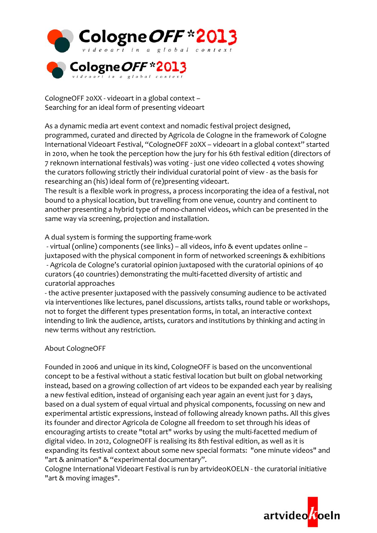

CologneOFF 20XX ‐ videoart in a global context – Searching for an ideal form of presenting videoart

As a dynamic media art event context and nomadic festival project designed, programmed, curated and directed by Agricola de Cologne in the framework of Cologne International Videoart Festival, "CologneOFF 20XX – videoart in a global context" started in 2010, when he took the perception how the jury for his 6th festival edition (directors of 7 reknown international festivals) was voting ‐ just one video collected 4 votes showing the curators following strictly their individual curatorial point of view ‐ as the basis for researching an (his) ideal form of (re)presenting videoart.

The result is a flexible work in progress, a process incorporating the idea of a festival, not bound to a physical location, but travelling from one venue, country and continent to another presenting a hybrid type of mono‐channel videos, which can be presented in the same way via screening, projection and installation.

A dual system is forming the supporting frame‐work

 ‐ virtual (online) components (see links) – all videos, info & event updates online – juxtaposed with the physical component in form of networked screenings & exhibitions ‐ Agricola de Cologne's curatorial opinion juxtaposed with the curatorial opinions of 40 curators (40 countries) demonstrating the multi‐facetted diversity of artistic and curatorial approaches

‐ the active presenter juxtaposed with the passively consuming audience to be activated via interventiones like lectures, panel discussions, artists talks, round table or workshops, not to forget the different types presentation forms, in total, an interactive context intending to link the audience, artists, curators and institutions by thinking and acting in new terms without any restriction.

## About CologneOFF

Founded in 2006 and unique in its kind, CologneOFF is based on the unconventional concept to be a festival without a static festival location but built on global networking instead, based on a growing collection of art videos to be expanded each year by realising a new festival edition, instead of organising each year again an event just for 3 days, based on a dual system of equal virtual and physical components, focussing on new and experimental artistic expressions, instead of following already known paths. All this gives its founder and director Agricola de Cologne all freedom to set through his ideas of encouraging artists to create "total art" works by using the multi-facetted medium of digital video. In 2012, CologneOFF is realising its 8th festival edition, as well as it is expanding its festival context about some new special formats: "one minute videos" and "art & animation" & "experimental documentary".

Cologne International Videoart Festival is run by artvideoKOELN ‐ the curatorial initiative "art & moving images".

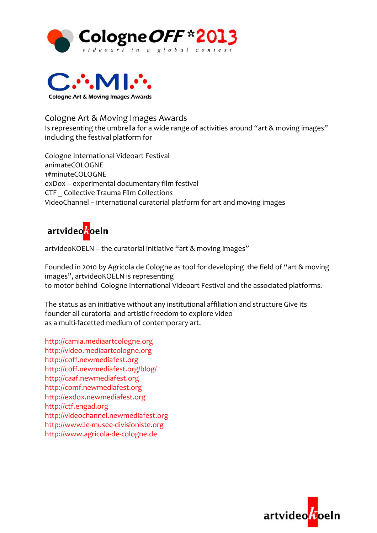



Cologne Art & Moving Images Awards Is representing the umbrella for a wide range of activities around "art & moving images" including the festival platform for

Cologne International Videoart Festival animateCOLOGNE 1#minuteCOLOGNE exDox – experimental documentary film festival CTF \_ Collective Trauma Film Collections VideoChannel – international curatorial platform for art and moving images



artvideoKOELN – the curatorial initiative "art & moving images"

Founded in 2010 by Agricola de Cologne as tool for developing the field of "art & moving images", artvideoKOELN is representing to motor behind Cologne International Videoart Festival and the associated platforms.

The status as an initiative without any institutional affiliation and structure Give its founder all curatorial and artistic freedom to explore video as a multi-facetted medium of contemporary art.

http://camia.mediaartcologne.org http://video.mediaartcologne.org http://coff.newmediafest.org http://coff.newmediafest.org/blog/ http://caaf.newmediafest.org http://comf.newmediafest.org http://exdox.newmediafest.org http://ctf.engad.org http://videochannel.newmediafest.org http://www.le‐musee‐divisioniste.org http://www.agricola‐de‐cologne.de

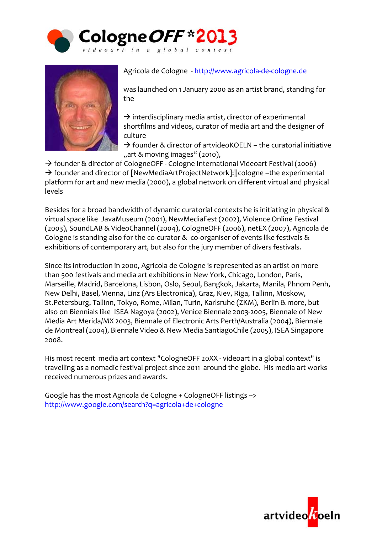



Agricola de Cologne ‐ http://www.agricola‐de‐cologne.de

was launched on 1 January 2000 as an artist brand, standing for the

 $\rightarrow$  interdisciplinary media artist, director of experimental shortfilms and videos, curator of media art and the designer of culture

 $\rightarrow$  founder & director of artvideoKOELN – the curatorial initiative "art & moving images" (2010),

 $\rightarrow$  founder & director of CologneOFF - Cologne International Videoart Festival (2006)  $\rightarrow$  founder and director of [NewMediaArtProjectNetwork]:  $|$  cologne –the experimental platform for art and new media (2000), a global network on different virtual and physical levels

Besides for a broad bandwidth of dynamic curatorial contexts he is initiating in physical & virtual space like JavaMuseum (2001), NewMediaFest (2002), Violence Online Festival (2003), SoundLAB & VideoChannel (2004), CologneOFF (2006), netEX (2007), Agricola de Cologne is standing also for the co-curator & co-organiser of events like festivals & exhibitions of contemporary art, but also for the jury member of divers festivals.

Since its introduction in 2000, Agricola de Cologne is represented as an artist on more than 500 festivals and media art exhibitions in New York, Chicago, London, Paris, Marseille, Madrid, Barcelona, Lisbon, Oslo, Seoul, Bangkok, Jakarta, Manila, Phnom Penh, New Delhi, Basel, Vienna, Linz (Ars Electronica), Graz, Kiev, Riga, Tallinn, Moskow, St.Petersburg, Tallinn, Tokyo, Rome, Milan, Turin, Karlsruhe (ZKM), Berlin & more, but also on Biennials like ISEA Nagoya (2002), Venice Biennale 2003‐2005, Biennale of New Media Art Merida/MX 2003, Biennale of Electronic Arts Perth/Australia (2004), Biennale de Montreal (2004), Biennale Video & New Media SantiagoChile (2005), ISEA Singapore 2008.

His most recent media art context "CologneOFF 20XX - videoart in a global context" is travelling as a nomadic festival project since 2011 around the globe. His media art works received numerous prizes and awards.

Google has the most Agricola de Cologne + CologneOFF listings ‐‐> http://www.google.com/search?q=agricola+de+cologne